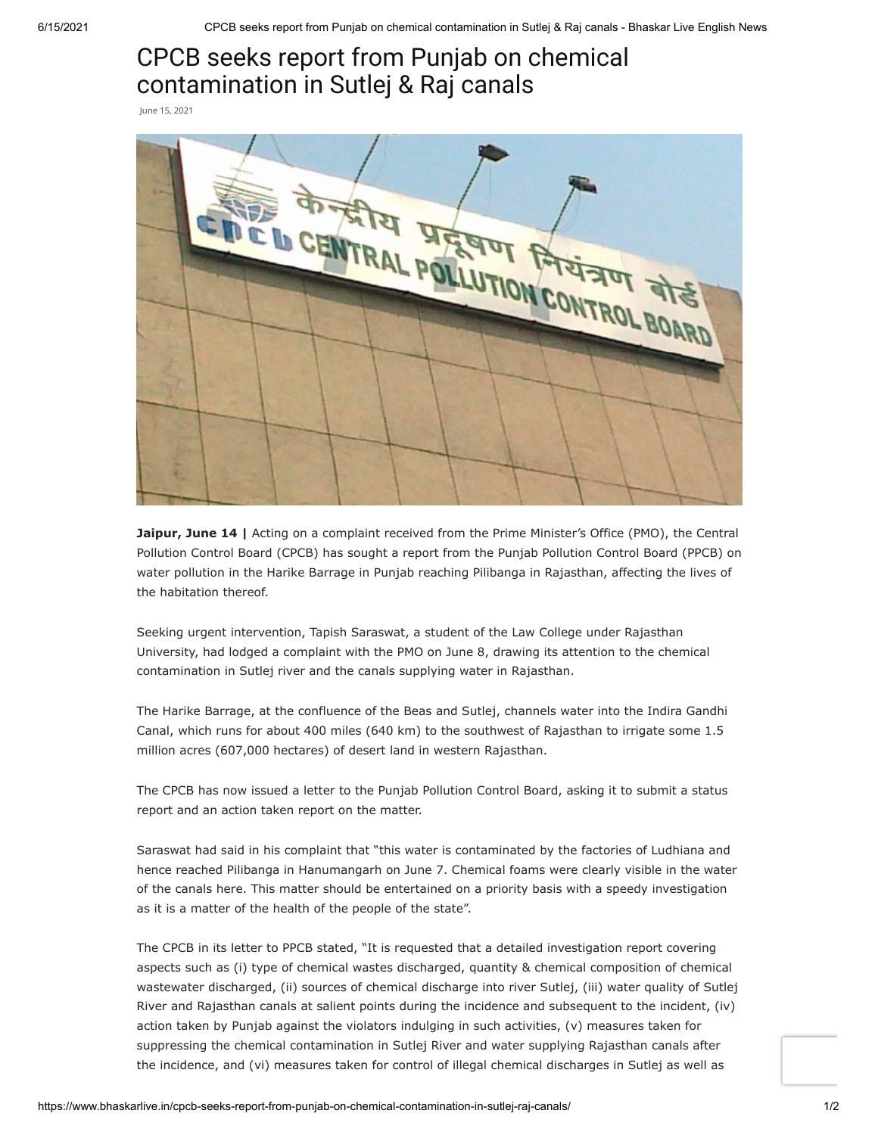## CPCB seeks report from Punjab on chemical contamination in Sutlej & Raj canals

June 15, 2021



**Jaipur, June 14 |** Acting on a complaint received from the Prime Minister's Office (PMO), the Central Pollution Control Board (CPCB) has sought a report from the Punjab Pollution Control Board (PPCB) on water pollution in the Harike Barrage in Punjab reaching Pilibanga in Rajasthan, affecting the lives of the habitation thereof.

Seeking urgent intervention, Tapish Saraswat, a student of the Law College under Rajasthan University, had lodged a complaint with the PMO on June 8, drawing its attention to the chemical contamination in Sutlej river and the canals supplying water in Rajasthan.

The Harike Barrage, at the confluence of the Beas and Sutlej, channels water into the Indira Gandhi Canal, which runs for about 400 miles (640 km) to the southwest of Rajasthan to irrigate some 1.5 million acres (607,000 hectares) of desert land in western Rajasthan.

The CPCB has now issued a letter to the Punjab Pollution Control Board, asking it to submit a status report and an action taken report on the matter.

Saraswat had said in his complaint that "this water is contaminated by the factories of Ludhiana and hence reached Pilibanga in Hanumangarh on June 7. Chemical foams were clearly visible in the water of the canals here. This matter should be entertained on a priority basis with a speedy investigation as it is a matter of the health of the people of the state".

The CPCB in its letter to PPCB stated, "It is requested that a detailed investigation report covering aspects such as (i) type of chemical wastes discharged, quantity & chemical composition of chemical wastewater discharged, (ii) sources of chemical discharge into river Sutlej, (iii) water quality of Sutlej River and Rajasthan canals at salient points during the incidence and subsequent to the incident, (iv) action taken by Punjab against the violators indulging in such activities, (v) measures taken for suppressing the chemical contamination in Sutlej River and water supplying Rajasthan canals after the incidence, and (vi) measures taken for control of illegal chemical discharges in Sutlej as well as